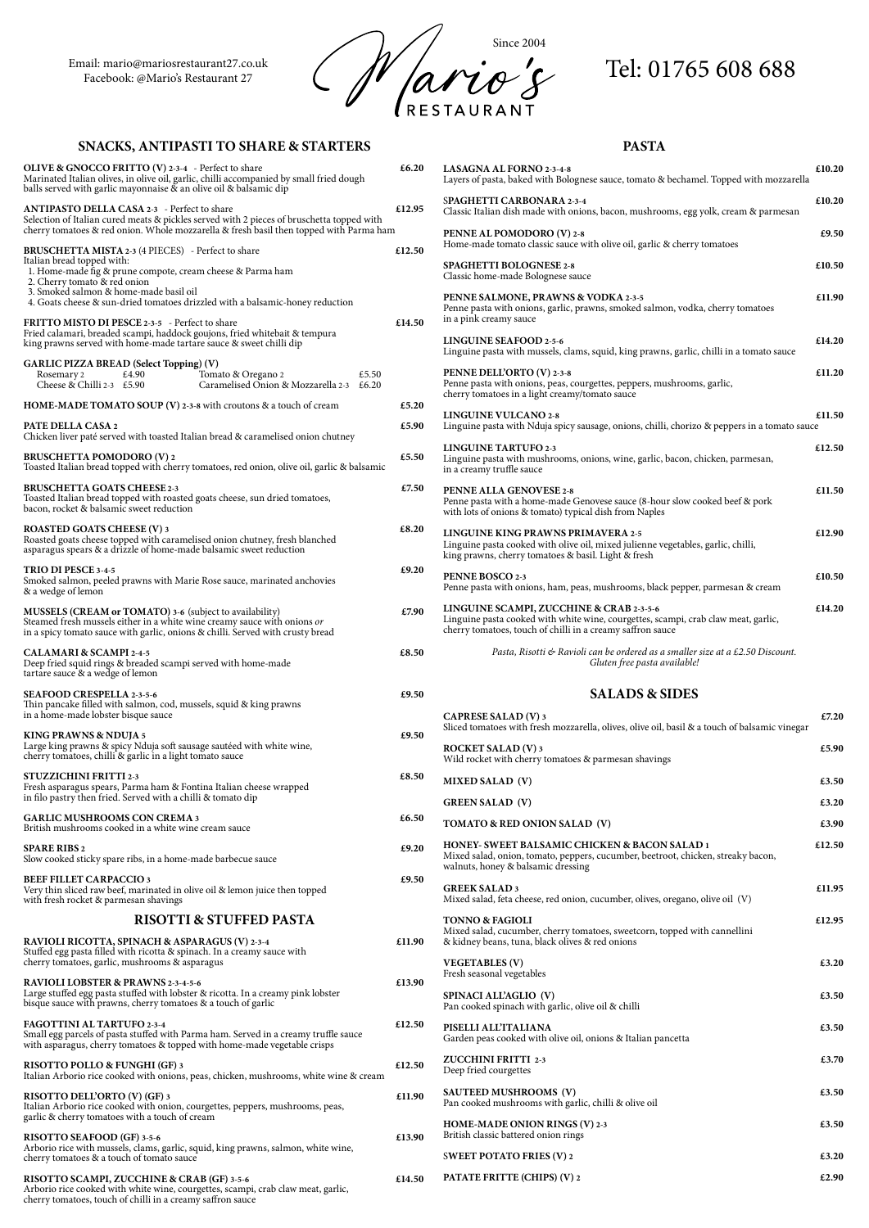Email: mario@mariosrestaurant27.co.uk



# **SNACKS, ANTIPASTI TO SHARE & STARTERS**

**RISOTTO SEAFOOD (GF) 3-5-6 E13.90** Arborio rice with mussels, clams, garlic, squid, king prawns, salmon, white wine, cherry tomatoes & a touch of tomato sauce

| <b>OLIVE &amp; GNOCCO FRITTO (V) 2-3-4</b> - Perfect to share<br>Marinated Italian olives, in olive oil, garlic, chilli accompanied by small fried dough<br>balls served with garlic mayonnaise & an olive oil & balsamic dip | £6.20  | <b>LASAGNA AL FORNO</b><br>Layers of pasta, baked w                              |
|-------------------------------------------------------------------------------------------------------------------------------------------------------------------------------------------------------------------------------|--------|----------------------------------------------------------------------------------|
| <b>ANTIPASTO DELLA CASA 2-3</b> - Perfect to share<br>Selection of Italian cured meats & pickles served with 2 pieces of bruschetta topped with                                                                               | £12.95 | <b>SPAGHETTI CARBON</b><br>Classic Italian dish made                             |
| cherry tomatoes & red onion. Whole mozzarella & fresh basil then topped with Parma ham<br>BRUSCHETTA MISTA 2-3 (4 PIECES) - Perfect to share                                                                                  | £12.50 | PENNE AL POMODO!<br>Home-made tomato clas                                        |
| Italian bread topped with:<br>1. Home-made fig & prune compote, cream cheese & Parma ham<br>2. Cherry tomato & red onion                                                                                                      |        | <b>SPAGHETTI BOLOGN</b><br>Classic home-made Bolc                                |
| 3. Smoked salmon & home-made basil oil<br>4. Goats cheese & sun-dried tomatoes drizzled with a balsamic-honey reduction                                                                                                       |        | PENNE SALMONE, PI<br>Penne pasta with onions                                     |
| FRITTO MISTO DI PESCE 2-3-5 - Perfect to share<br>Fried calamari, breaded scampi, haddock goujons, fried whitebait & tempura<br>king prawns served with home-made tartare sauce & sweet chilli dip                            | £14.50 | in a pink creamy sauce<br><b>LINGUINE SEAFOOD</b>                                |
| <b>GARLIC PIZZA BREAD (Select Topping) (V)</b><br>£5.50<br>£4.90<br>Tomato & Oregano 2<br>Rosemary 2                                                                                                                          |        | Linguine pasta with muan<br>PENNE DELL'ORTO ('                                   |
| Cheese & Chilli 2-3 $\text{\pounds}5.90$<br>Caramelised Onion & Mozzarella 2-3 £6.20<br>HOME-MADE TOMATO SOUP (V) 2-3-8 with croutons & a touch of cream                                                                      | £5.20  | Penne pasta with onions<br>cherry tomatoes in a ligh                             |
| PATE DELLA CASA 2                                                                                                                                                                                                             | £5.90  | LINGUINE VULCANO<br>Linguine pasta with Nd                                       |
| Chicken liver paté served with toasted Italian bread & caramelised onion chutney<br><b>BRUSCHETTA POMODORO (V) 2</b><br>Toasted Italian bread topped with cherry tomatoes, red onion, olive oil, garlic & balsamic            | £5.50  | <b>LINGUINE TARTUFO</b><br>Linguine pasta with muan<br>in a creamy truffle sauce |
| <b>BRUSCHETTA GOATS CHEESE 2-3</b><br>Toasted Italian bread topped with roasted goats cheese, sun dried tomatoes,<br>bacon, rocket & balsamic sweet reduction                                                                 | £7.50  | PENNE ALLA GENOV<br>Penne pasta with a home<br>with lots of onions & tor         |
| <b>ROASTED GOATS CHEESE (V) 3</b><br>Roasted goats cheese topped with caramelised onion chutney, fresh blanched<br>asparagus spears & a drizzle of home-made balsamic sweet reduction                                         | £8.20  | LINGUINE KING PRA<br>Linguine pasta cooked v<br>king prawns, cherry tom          |
| TRIO DI PESCE 3-4-5<br>Smoked salmon, peeled prawns with Marie Rose sauce, marinated anchovies<br>& a wedge of lemon                                                                                                          | £9.20  | PENNE BOSCO 2-3<br>Penne pasta with onions                                       |
| MUSSELS (CREAM or TOMATO) 3-6 (subject to availability)<br>Steamed fresh mussels either in a white wine creamy sauce with onions or<br>in a spicy tomato sauce with garlic, onions & chilli. Served with crusty bread         | £7.90  | LINGUINE SCAMPI, 2<br>Linguine pasta cooked v<br>cherry tomatoes, touch o        |
| <b>CALAMARI &amp; SCAMPI 2-4-5</b><br>Deep fried squid rings & breaded scampi served with home-made<br>tartare sauce & a wedge of lemon                                                                                       | £8.50  | Pasta, Risott                                                                    |
| <b>SEAFOOD CRESPELLA 2-3-5-6</b><br>Thin pancake filled with salmon, cod, mussels, squid & king prawns                                                                                                                        | £9.50  |                                                                                  |
| in a home-made lobster bisque sauce<br><b>KING PRAWNS &amp; NDUJA 5</b>                                                                                                                                                       | £9.50  | <b>CAPRESE SALAD (V)</b><br>Sliced tomatoes with fre                             |
| Large king prawns & spicy Nduja soft sausage sautéed with white wine,<br>cherry tomatoes, chilli & garlic in a light tomato sauce                                                                                             |        | <b>ROCKET SALAD (V) 3</b><br>Wild rocket with cherry                             |
| <b>STUZZICHINI FRITTI 2-3</b><br>Fresh asparagus spears, Parma ham & Fontina Italian cheese wrapped                                                                                                                           | £8.50  | <b>MIXED SALAD</b> (V)                                                           |
| in filo pastry then fried. Served with a chilli & tomato dip                                                                                                                                                                  |        | <b>GREEN SALAD (V)</b>                                                           |
| <b>GARLIC MUSHROOMS CON CREMA 3</b><br>British mushrooms cooked in a white wine cream sauce                                                                                                                                   | £6.50  | <b>TOMATO &amp; RED ONI</b>                                                      |
| <b>SPARE RIBS 2</b><br>Slow cooked sticky spare ribs, in a home-made barbecue sauce                                                                                                                                           | £9.20  | <b>HONEY- SWEET BALS</b><br>Mixed salad, onion, tom<br>walnuts, honey & balsan   |
| <b>BEEF FILLET CARPACCIO 3</b><br>Very thin sliced raw beef, marinated in olive oil & lemon juice then topped<br>with fresh rocket & parmesan shavings                                                                        | £9.50  | <b>GREEK SALAD3</b><br>Mixed salad, feta cheese                                  |
| <b>RISOTTI &amp; STUFFED PASTA</b>                                                                                                                                                                                            |        | <b>TONNO &amp; FAGIOLI</b>                                                       |

|  | <b>RISOTTI &amp; STUFFED PASTA</b> |  |
|--|------------------------------------|--|
|--|------------------------------------|--|

## **RAVIOLI RICOTTA, SPINACH & ASPARAGUS (V) 2-3-4 £11.90**

Stuffed egg pasta filled with ricotta & spinach. In a creamy sauce with cherry tomatoes, garlic, mushrooms & asparagus

### **RAVIOLI LOBSTER & PRAWNS 2-3-4-5-6 £13.90**

Large stuffed egg pasta stuffed with lobster & ricotta. In a creamy pink lobster bisque sauce with prawns, cherry tomatoes & a touch of garlic

## **FAGOTTINI AL TARTUFO 2-3-4 E12.50**

Small egg parcels of pasta stuffed with Parma ham. Served in a creamy truffle sauce with asparagus, cherry tomatoes & topped with home-made vegetable crisps

**TONNO & FAGIOLI E12.95** Mixed salad, cucumber, cherry tomatoes, sweetcorn, topped with cannellini & kidney beans, tuna, black olives & red onions **VEGETABLES (V) £3.20** Fresh seasonal vegetables **SPINACI ALL'AGLIO** (V) **£3.50** Pan cooked spinach with garlic, olive oil & chilli **PISELLI ALL'ITALIANA £3.50** Garden peas cooked with olive oil, onions & Italian pancetta **ZUCCHINI FRITTI** 2-3 **£3.70** Deep fried courgettes **SAUTEED MUSHROOMS (V)** 63.50 Pan cooked mushrooms with garlic, chilli & olive oil **HOME-MADE ONION RINGS (V) 2-3 E3.50** British classic battered onion rings

**SWEET POTATO FRIES (V) 2** 63.20 **PATATE FRITTE (CHIPS) (V) 2 E2.90** 

**RISOTTO POLLO & FUNGHI (GF) 3 £12.50** Italian Arborio rice cooked with onions, peas, chicken, mushrooms, white wine & cream

#### **RISOTTO DELL'ORTO (V) (GF) 3 £11.90** Italian Arborio rice cooked with onion, courgettes, peppers, mushrooms, peas, garlic & cherry tomatoes with a touch of cream

**RISOTTO SCAMPI, ZUCCHINE & CRAB (GF) 3-5-6 £14.50** Arborio rice cooked with white wine, courgettes, scampi, crab claw meat, garlic, cherry tomatoes, touch of chilli in a creamy saffron sauce

# **PASTA**

| <b>LASAGNA AL FORNO 2-3-4-8</b><br>Layers of pasta, baked with Bolognese sauce, tomato & bechamel. Topped with mozzarella                                                                    | £10.20 |
|----------------------------------------------------------------------------------------------------------------------------------------------------------------------------------------------|--------|
| SPAGHETTI CARBONARA 2-3-4<br>Classic Italian dish made with onions, bacon, mushrooms, egg yolk, cream & parmesan                                                                             | £10.20 |
| PENNE AL POMODORO (V) 2-8<br>Home-made tomato classic sauce with olive oil, garlic & cherry tomatoes                                                                                         | £9.50  |
| <b>SPAGHETTI BOLOGNESE 2-8</b><br>Classic home-made Bolognese sauce                                                                                                                          | £10.50 |
| PENNE SALMONE, PRAWNS & VODKA 2-3-5<br>Penne pasta with onions, garlic, prawns, smoked salmon, vodka, cherry tomatoes<br>in a pink creamy sauce                                              | £11.90 |
| <b>LINGUINE SEAFOOD 2-5-6</b><br>Linguine pasta with mussels, clams, squid, king prawns, garlic, chilli in a tomato sauce                                                                    | £14.20 |
| PENNE DELL'ORTO (V) 2-3-8<br>Penne pasta with onions, peas, courgettes, peppers, mushrooms, garlic,<br>cherry tomatoes in a light creamy/tomato sauce                                        | £11.20 |
| <b>LINGUINE VULCANO 2-8</b><br>Linguine pasta with Nduja spicy sausage, onions, chilli, chorizo & peppers in a tomato sauce                                                                  | £11.50 |
| <b>LINGUINE TARTUFO 2-3</b><br>Linguine pasta with mushrooms, onions, wine, garlic, bacon, chicken, parmesan,<br>in a creamy truffle sauce                                                   | £12.50 |
| <b>PENNE ALLA GENOVESE 2-8</b><br>Penne pasta with a home-made Genovese sauce (8-hour slow cooked beef & pork<br>with lots of onions & tomato) typical dish from Naples                      | £11.50 |
| <b>LINGUINE KING PRAWNS PRIMAVERA 2-5</b><br>Linguine pasta cooked with olive oil, mixed julienne vegetables, garlic, chilli,<br>king prawns, cherry tomatoes & basil. Light & fresh         | £12.90 |
| PENNE BOSCO 2-3<br>Penne pasta with onions, ham, peas, mushrooms, black pepper, parmesan & cream                                                                                             | £10.50 |
| LINGUINE SCAMPI, ZUCCHINE & CRAB 2-3-5-6<br>Linguine pasta cooked with white wine, courgettes, scampi, crab claw meat, garlic,<br>cherry tomatoes, touch of chilli in a creamy saffron sauce | £14.20 |
| Pasta, Risotti & Ravioli can be ordered as a smaller size at a £2.50 Discount.<br>Gluten free pasta available!                                                                               |        |
| <b>SALADS &amp; SIDES</b>                                                                                                                                                                    |        |
| <b>CAPRESE SALAD (V) 3</b><br>Sliced tomatoes with fresh mozzarella, olives, olive oil, basil & a touch of balsamic vinegar                                                                  | £7.20  |
| <b>ROCKET SALAD (V) 3</b><br>Wild rocket with cherry tomatoes & parmesan shavings                                                                                                            | £5.90  |
| <b>MIXED SALAD (V)</b>                                                                                                                                                                       | £3.50  |
| <b>GREEN SALAD (V)</b>                                                                                                                                                                       | £3.20  |
| TOMATO & RED ONION SALAD (V)                                                                                                                                                                 | £3.90  |
| HONEY- SWEET BALSAMIC CHICKEN & BACON SALAD 1                                                                                                                                                | £12.50 |

hato, peppers, cucumber, beetroot, chicken, streaky bacon, nic dressing **GREEK SALAD 3 £11.95** t, red onion, cucumber, olives, oregano, olive oil (V)